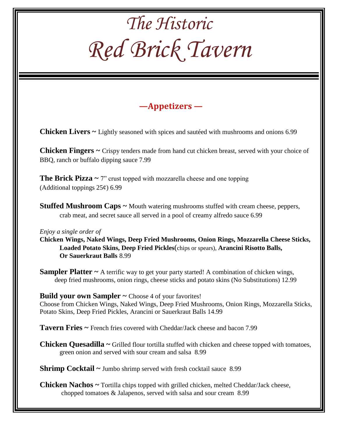### *The Historic Red Brick Tavern* **—Appetizers — Chicken Livers ~** Lightly seasoned with spices and sautéed with mushrooms and onions 6.99 **Chicken Fingers ~** Crispy tenders made from hand cut chicken breast, served with your choice of BBQ, ranch or buffalo dipping sauce 7.99 **The Brick Pizza**  $\sim$  7" crust topped with mozzarella cheese and one topping (Additional toppings  $25¢$ ) 6.99 **Stuffed Mushroom Caps ~** Mouth watering mushrooms stuffed with cream cheese, peppers, crab meat, and secret sauce all served in a pool of creamy alfredo sauce 6.99 *Enjoy a single order of* **Chicken Wings, Naked Wings, Deep Fried Mushrooms, Onion Rings, Mozzarella Cheese Sticks, Loaded Potato Skins, Deep Fried Pickles**(chips or spears), **Arancini Risotto Balls, Or Sauerkraut Balls** 8.99 **Sampler Platter** ~ A terrific way to get your party started! A combination of chicken wings, deep fried mushrooms, onion rings, cheese sticks and potato skins (No Substitutions) 12.99 **Build your own Sampler ~** Choose 4 of your favorites! Choose from Chicken Wings, Naked Wings, Deep Fried Mushrooms, Onion Rings, Mozzarella Sticks, Potato Skins, Deep Fried Pickles, Arancini or Sauerkraut Balls 14.99 **Tavern Fries ~** French fries covered with Cheddar/Jack cheese and bacon 7.99 **Chicken Quesadilla ~** Grilled flour tortilla stuffed with chicken and cheese topped with tomatoes, green onion and served with sour cream and salsa 8.99 **Shrimp Cocktail ~ Jumbo shrimp served with fresh cocktail sauce 8.99 Chicken Nachos ~** Tortilla chips topped with grilled chicken, melted Cheddar/Jack cheese, chopped tomatoes & Jalapenos, served with salsa and sour cream 8.99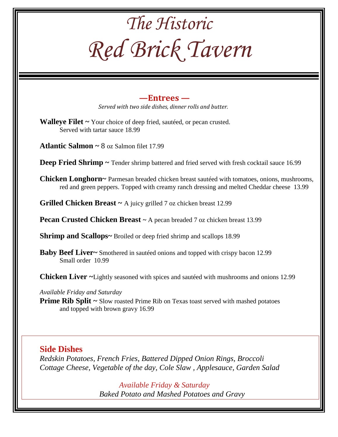| The Historic                                                                                                                                                                            |
|-----------------------------------------------------------------------------------------------------------------------------------------------------------------------------------------|
| Red Brick Tavern                                                                                                                                                                        |
| $-$ Entrees $-$<br>Served with two side dishes, dinner rolls and butter.                                                                                                                |
| <b>Walleye Filet</b> $\sim$ Your choice of deep fried, sauteed, or pecan crusted.<br>Served with tartar sauce 18.99                                                                     |
| <b>Atlantic Salmon ~ 8 oz Salmon filet 17.99</b>                                                                                                                                        |
| <b>Deep Fried Shrimp <math>\sim</math></b> Tender shrimp battered and fried served with fresh cocktail sauce 16.99                                                                      |
| Chicken Longhorn~ Parmesan breaded chicken breast sautéed with tomatoes, onions, mushrooms,<br>red and green peppers. Topped with creamy ranch dressing and melted Cheddar cheese 13.99 |
| <b>Grilled Chicken Breast</b> $\sim$ A juicy grilled 7 oz chicken breast 12.99                                                                                                          |
| <b>Pecan Crusted Chicken Breast ~ A pecan breaded 7 oz chicken breast 13.99</b>                                                                                                         |
| Shrimp and Scallops~ Broiled or deep fried shrimp and scallops 18.99                                                                                                                    |
| Baby Beef Liver~ Smothered in sautéed onions and topped with crispy bacon 12.99<br>Small order 10.99                                                                                    |
| <b>Chicken Liver</b> ~Lightly seasoned with spices and sauteed with mushrooms and onions 12.99                                                                                          |
| Available Friday and Saturday<br>Prime Rib Split ~ Slow roasted Prime Rib on Texas toast served with mashed potatoes<br>and topped with brown gravy 16.99                               |
| <b>Side Dishes</b><br>Redskin Potatoes, French Fries, Battered Dipped Onion Rings, Broccoli<br>Cottage Cheese, Vegetable of the day, Cole Slaw, Applesauce, Garden Salad                |
|                                                                                                                                                                                         |

*Available Friday & Saturday Baked Potato and Mashed Potatoes and Gravy*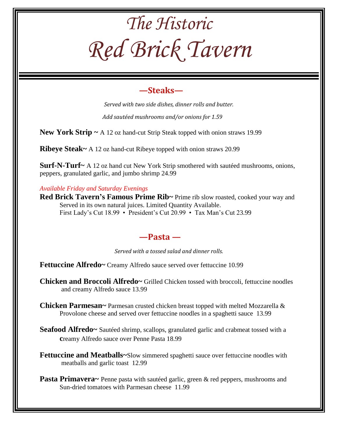# *The Historic Red Brick Tavern*

### **—Steaks—**

*Served with two side dishes, dinner rolls and butter.*

 *Add sautéed mushrooms and/or onions for 1.59*

**New York Strip ~** A 12 oz hand-cut Strip Steak topped with onion straws 19.99

**Ribeye Steak~** A 12 oz hand-cut Ribeye topped with onion straws 20.99

**Surf-N-Turf~** A 12 oz hand cut New York Strip smothered with sautéed mushrooms, onions, peppers, granulated garlic, and jumbo shrimp 24.99

*Available Friday and Saturday Evenings*

Red Brick Tavern's Famous Prime Rib~ Prime rib slow roasted, cooked your way and Served in its own natural juices. Limited Quantity Available. First Lady's Cut 18.99 • President's Cut 20.99 • Tax Man's Cut 23.99

#### **—Pasta —**

*Served with a tossed salad and dinner rolls.*

**Fettuccine Alfredo~** Creamy Alfredo sauce served over fettuccine 10.99

**Chicken and Broccoli Alfredo~** Grilled Chicken tossed with broccoli, fettuccine noodles and creamy Alfredo sauce 13.99

**Chicken Parmesan~** Parmesan crusted chicken breast topped with melted Mozzarella & Provolone cheese and served over fettuccine noodles in a spaghetti sauce 13.99

**Seafood Alfredo~** Sautéed shrimp, scallops, granulated garlic and crabmeat tossed with a **c**reamy Alfredo sauce over Penne Pasta 18.99

**Fettuccine and Meatballs~**Slow simmered spaghetti sauce over fettuccine noodles with meatballs and garlic toast 12.99

**Pasta Primavera~** Penne pasta with sautéed garlic, green & red peppers, mushrooms and Sun-dried tomatoes with Parmesan cheese 11.99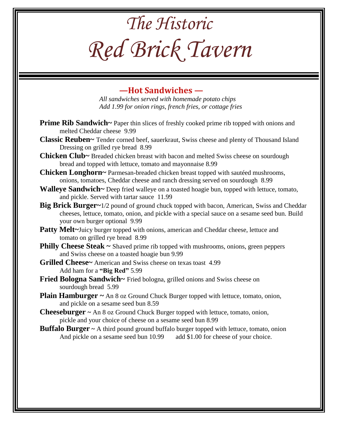# *The Historic Red Brick Tavern*

#### **—Hot Sandwiches —**

*All sandwiches served with homemade potato chips Add 1.99 for onion rings, french fries, or cottage fries*

- **Prime Rib Sandwich~** Paper thin slices of freshly cooked prime rib topped with onions and melted Cheddar cheese 9.99
- **Classic Reuben~** Tender corned beef, sauerkraut, Swiss cheese and plenty of Thousand Island Dressing on grilled rye bread 8.99
- **Chicken Club~** Breaded chicken breast with bacon and melted Swiss cheese on sourdough bread and topped with lettuce, tomato and mayonnaise 8.99
- **Chicken Longhorn~** Parmesan-breaded chicken breast topped with sautéed mushrooms, onions, tomatoes, Cheddar cheese and ranch dressing served on sourdough 8.99
- **Walleye Sandwich~** Deep fried walleye on a toasted hoagie bun, topped with lettuce, tomato, and pickle. Served with tartar sauce 11.99
- **Big Brick Burger~**1/2 pound of ground chuck topped with bacon, American, Swiss and Cheddar cheeses, lettuce, tomato, onion, and pickle with a special sauce on a sesame seed bun. Build your own burger optional 9.99
- **Patty Melt~Juicy burger topped with onions, american and Cheddar cheese, lettuce and** tomato on grilled rye bread 8.99
- **Philly Cheese Steak ~** Shaved prime rib topped with mushrooms, onions, green peppers and Swiss cheese on a toasted hoagie bun 9.99
- **Grilled Cheese~** American and Swiss cheese on texas toast 4.99 Add ham for a **"Big Red"** 5.99
- **Fried Bologna Sandwich~** Fried bologna, grilled onions and Swiss cheese on sourdough bread 5.99
- **Plain Hamburger ~** An 8 oz Ground Chuck Burger topped with lettuce, tomato, onion, and pickle on a sesame seed bun 8.59
- **Cheeseburger ~** An 8 oz Ground Chuck Burger topped with lettuce, tomato, onion, pickle and your choice of cheese on a sesame seed bun 8.99
- **Buffalo Burger** ~ A third pound ground buffalo burger topped with lettuce, tomato, onion And pickle on a sesame seed bun 10.99 add \$1.00 for cheese of your choice.